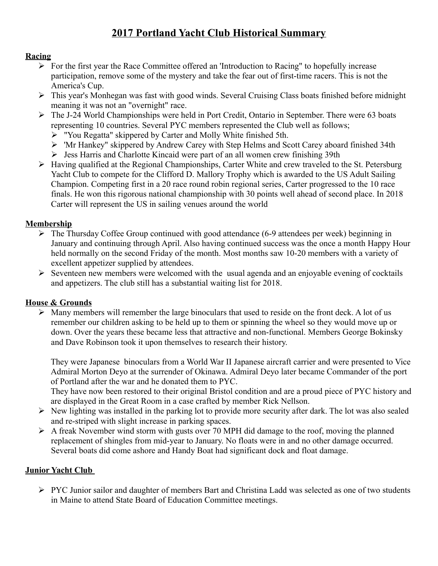# **2017 Portland Yacht Club Historical Summary**

#### **Racing**

- $\triangleright$  For the first year the Race Committee offered an 'Introduction to Racing'' to hopefully increase participation, remove some of the mystery and take the fear out of first-time racers. This is not the America's Cup.
- This year's Monhegan was fast with good winds. Several Cruising Class boats finished before midnight meaning it was not an "overnight" race.
- The J-24 World Championships were held in Port Credit, Ontario in September. There were 63 boats representing 10 countries. Several PYC members represented the Club well as follows;
	- "You Regatta" skippered by Carter and Molly White finished 5th.
	- 'Mr Hankey" skippered by Andrew Carey with Step Helms and Scott Carey aboard finished 34th
	- $\triangleright$  Jess Harris and Charlotte Kincaid were part of an all women crew finishing 39th
- Having qualified at the Regional Championships, Carter White and crew traveled to the St. Petersburg Yacht Club to compete for the Clifford D. Mallory Trophy which is awarded to the US Adult Sailing Champion. Competing first in a 20 race round robin regional series, Carter progressed to the 10 race finals. He won this rigorous national championship with 30 points well ahead of second place. In 2018 Carter will represent the US in sailing venues around the world

## **Membership**

- $\triangleright$  The Thursday Coffee Group continued with good attendance (6-9 attendees per week) beginning in January and continuing through April. Also having continued success was the once a month Happy Hour held normally on the second Friday of the month. Most months saw 10-20 members with a variety of excellent appetizer supplied by attendees.
- $\triangleright$  Seventeen new members were welcomed with the usual agenda and an enjoyable evening of cocktails and appetizers. The club still has a substantial waiting list for 2018.

# **House & Grounds**

 $\triangleright$  Many members will remember the large binoculars that used to reside on the front deck. A lot of us remember our children asking to be held up to them or spinning the wheel so they would move up or down. Over the years these became less that attractive and non-functional. Members George Bokinsky and Dave Robinson took it upon themselves to research their history.

They were Japanese binoculars from a World War II Japanese aircraft carrier and were presented to Vice Admiral Morton Deyo at the surrender of Okinawa. Admiral Deyo later became Commander of the port of Portland after the war and he donated them to PYC.

They have now been restored to their original Bristol condition and are a proud piece of PYC history and are displayed in the Great Room in a case crafted by member Rick Nellson.

- $\triangleright$  New lighting was installed in the parking lot to provide more security after dark. The lot was also sealed and re-striped with slight increase in parking spaces.
- $\triangleright$  A freak November wind storm with gusts over 70 MPH did damage to the roof, moving the planned replacement of shingles from mid-year to January. No floats were in and no other damage occurred. Several boats did come ashore and Handy Boat had significant dock and float damage.

# **Junior Yacht Club**

PYC Junior sailor and daughter of members Bart and Christina Ladd was selected as one of two students in Maine to attend State Board of Education Committee meetings.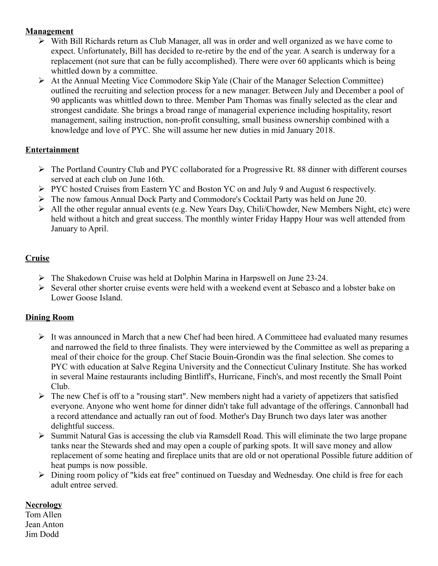## **Management**

- $\triangleright$  With Bill Richards return as Club Manager, all was in order and well organized as we have come to expect. Unfortunately, Bill has decided to re-retire by the end of the year. A search is underway for a replacement (not sure that can be fully accomplished). There were over 60 applicants which is being whittled down by a committee.
- At the Annual Meeting Vice Commodore Skip Yale (Chair of the Manager Selection Committee) outlined the recruiting and selection process for a new manager. Between July and December a pool of 90 applicants was whittled down to three. Member Pam Thomas was finally selected as the clear and strongest candidate. She brings a broad range of managerial experience including hospitality, resort management, sailing instruction, non-profit consulting, small business ownership combined with a knowledge and love of PYC. She will assume her new duties in mid January 2018.

## **Entertainment**

- The Portland Country Club and PYC collaborated for a Progressive Rt. 88 dinner with different courses served at each club on June 16th.
- PYC hosted Cruises from Eastern YC and Boston YC on and July 9 and August 6 respectively.
- The now famous Annual Dock Party and Commodore's Cocktail Party was held on June 20.
- All the other regular annual events (e.g. New Years Day, Chili/Chowder, New Members Night, etc) were held without a hitch and great success. The monthly winter Friday Happy Hour was well attended from January to April.

# **Cruise**

- The Shakedown Cruise was held at Dolphin Marina in Harpswell on June 23-24.
- $\triangleright$  Several other shorter cruise events were held with a weekend event at Sebasco and a lobster bake on Lower Goose Island.

#### **Dining Room**

- $\triangleright$  It was announced in March that a new Chef had been hired. A Committeee had evaluated many resumes and narrowed the field to three finalists. They were interviewed by the Committee as well as preparing a meal of their choice for the group. Chef Stacie Bouin-Grondin was the final selection. She comes to PYC with education at Salve Regina University and the Connecticut Culinary Institute. She has worked in several Maine restaurants including Bintliff's, Hurricane, Finch's, and most recently the Small Point Club.
- $\triangleright$  The new Chef is off to a "rousing start". New members night had a variety of appetizers that satisfied everyone. Anyone who went home for dinner didn't take full advantage of the offerings. Cannonball had a record attendance and actually ran out of food. Mother's Day Brunch two days later was another delightful success.
- $\triangleright$  Summit Natural Gas is accessing the club via Ramsdell Road. This will eliminate the two large propane tanks near the Stewards shed and may open a couple of parking spots. It will save money and allow replacement of some heating and fireplace units that are old or not operational Possible future addition of heat pumps is now possible.
- Dining room policy of "kids eat free" continued on Tuesday and Wednesday. One child is free for each adult entree served.

#### **Necrology**

Tom Allen Jean Anton Jim Dodd